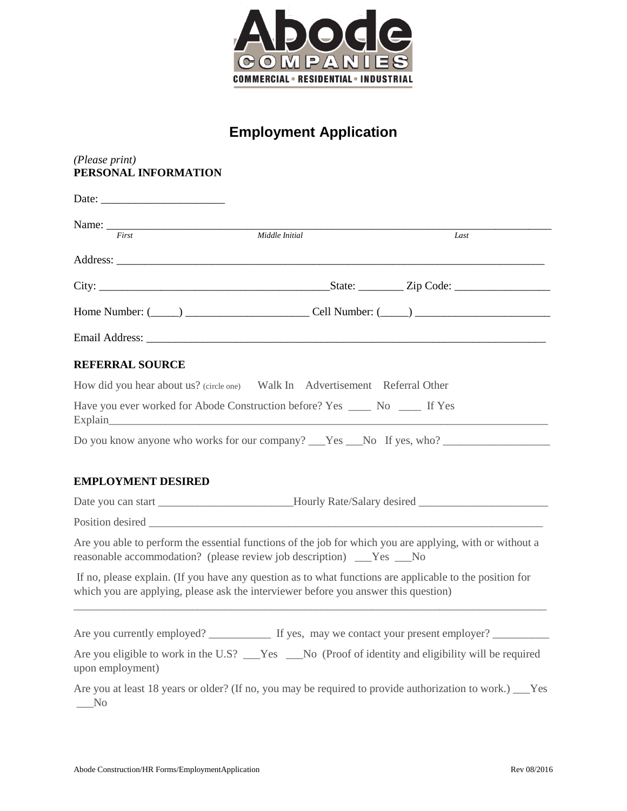

## **Employment Application**

| (Please print)<br>PERSONAL INFORMATION |                                                                                                                                                                                                 |                                                                                                           |
|----------------------------------------|-------------------------------------------------------------------------------------------------------------------------------------------------------------------------------------------------|-----------------------------------------------------------------------------------------------------------|
|                                        |                                                                                                                                                                                                 |                                                                                                           |
| First                                  | Middle Initial                                                                                                                                                                                  | Last                                                                                                      |
|                                        |                                                                                                                                                                                                 |                                                                                                           |
|                                        |                                                                                                                                                                                                 |                                                                                                           |
|                                        |                                                                                                                                                                                                 |                                                                                                           |
|                                        |                                                                                                                                                                                                 |                                                                                                           |
| <b>REFERRAL SOURCE</b>                 |                                                                                                                                                                                                 |                                                                                                           |
|                                        | How did you hear about us? (circle one) Walk In Advertisement Referral Other                                                                                                                    |                                                                                                           |
|                                        | Have you ever worked for Abode Construction before? Yes ________ No _______ If Yes                                                                                                              |                                                                                                           |
|                                        |                                                                                                                                                                                                 | Do you know anyone who works for our company? Nes No If yes, who?                                         |
|                                        |                                                                                                                                                                                                 |                                                                                                           |
| <b>EMPLOYMENT DESIRED</b>              |                                                                                                                                                                                                 |                                                                                                           |
|                                        |                                                                                                                                                                                                 |                                                                                                           |
|                                        |                                                                                                                                                                                                 |                                                                                                           |
|                                        | Are you able to perform the essential functions of the job for which you are applying, with or without a<br>reasonable accommodation? (please review job description) ___Yes ___No              |                                                                                                           |
|                                        | If no, please explain. (If you have any question as to what functions are applicable to the position for<br>which you are applying, please ask the interviewer before you answer this question) |                                                                                                           |
|                                        |                                                                                                                                                                                                 |                                                                                                           |
| upon employment)                       | Are you eligible to work in the U.S? __Yes __No (Proof of identity and eligibility will be required                                                                                             |                                                                                                           |
| $\sqrt{\ }$                            |                                                                                                                                                                                                 | Are you at least 18 years or older? (If no, you may be required to provide authorization to work.) ___Yes |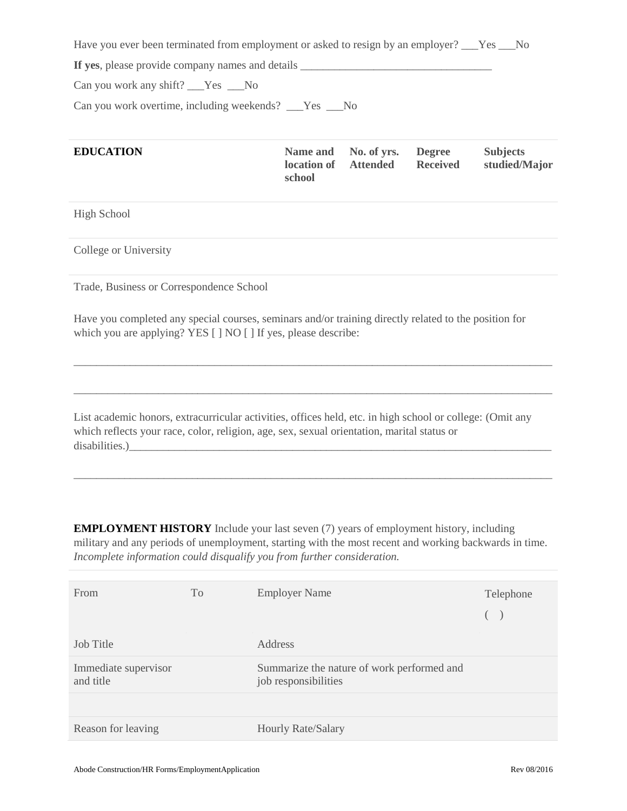Have you ever been terminated from employment or asked to resign by an employer? \_\_\_Yes \_\_\_No **If yes**, please provide company names and details  $\Box$ Can you work any shift? Yes No

Can you work overtime, including weekends? \_\_\_Yes \_\_\_No

| <b>EDUCATION</b> | location of Attended<br>school | Name and No. of yrs. Degree | <b>Received</b> | <b>Subjects</b><br>studied/Major |
|------------------|--------------------------------|-----------------------------|-----------------|----------------------------------|
|------------------|--------------------------------|-----------------------------|-----------------|----------------------------------|

High School

College or University

Trade, Business or Correspondence School

Have you completed any special courses, seminars and/or training directly related to the position for which you are applying? YES [ ] NO [ ] If yes, please describe:

\_\_\_\_\_\_\_\_\_\_\_\_\_\_\_\_\_\_\_\_\_\_\_\_\_\_\_\_\_\_\_\_\_\_\_\_\_\_\_\_\_\_\_\_\_\_\_\_\_\_\_\_\_\_\_\_\_\_\_\_\_\_\_\_\_\_\_\_\_\_\_\_\_\_\_\_\_\_\_\_\_\_\_\_\_

\_\_\_\_\_\_\_\_\_\_\_\_\_\_\_\_\_\_\_\_\_\_\_\_\_\_\_\_\_\_\_\_\_\_\_\_\_\_\_\_\_\_\_\_\_\_\_\_\_\_\_\_\_\_\_\_\_\_\_\_\_\_\_\_\_\_\_\_\_\_\_\_\_\_\_\_\_\_\_\_\_\_\_\_\_

List academic honors, extracurricular activities, offices held, etc. in high school or college: (Omit any which reflects your race, color, religion, age, sex, sexual orientation, marital status or disabilities.)

**EMPLOYMENT HISTORY** Include your last seven (7) years of employment history, including military and any periods of unemployment, starting with the most recent and working backwards in time. *Incomplete information could disqualify you from further consideration.*

\_\_\_\_\_\_\_\_\_\_\_\_\_\_\_\_\_\_\_\_\_\_\_\_\_\_\_\_\_\_\_\_\_\_\_\_\_\_\_\_\_\_\_\_\_\_\_\_\_\_\_\_\_\_\_\_\_\_\_\_\_\_\_\_\_\_\_\_\_\_\_\_\_\_\_\_\_\_\_\_\_\_\_\_\_

| From                              | To | <b>Employer Name</b>                                               | Telephone<br>( |
|-----------------------------------|----|--------------------------------------------------------------------|----------------|
| Job Title                         |    | Address                                                            |                |
| Immediate supervisor<br>and title |    | Summarize the nature of work performed and<br>job responsibilities |                |
|                                   |    |                                                                    |                |
| Reason for leaving                |    | Hourly Rate/Salary                                                 |                |
|                                   |    |                                                                    |                |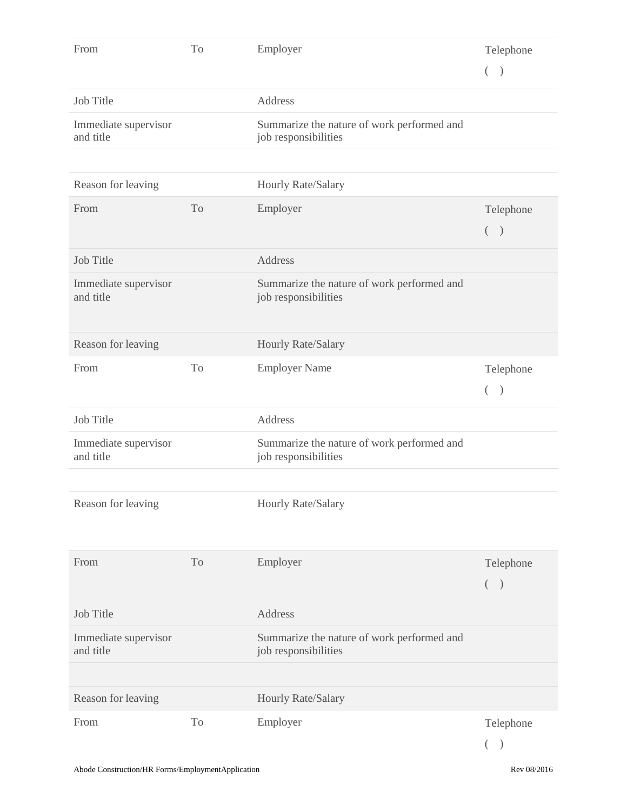| From                              | To             | Employer                                                           | Telephone          |
|-----------------------------------|----------------|--------------------------------------------------------------------|--------------------|
|                                   |                |                                                                    | $($ )              |
| <b>Job Title</b>                  |                | Address                                                            |                    |
| Immediate supervisor<br>and title |                | Summarize the nature of work performed and<br>job responsibilities |                    |
|                                   |                |                                                                    |                    |
| Reason for leaving                |                | Hourly Rate/Salary                                                 |                    |
| From                              | To             | Employer                                                           | Telephone          |
|                                   |                |                                                                    | $($ )              |
| Job Title                         |                | Address                                                            |                    |
| Immediate supervisor<br>and title |                | Summarize the nature of work performed and<br>job responsibilities |                    |
|                                   |                |                                                                    |                    |
| Reason for leaving                |                | Hourly Rate/Salary                                                 |                    |
| From                              | To             | <b>Employer Name</b>                                               | Telephone<br>$($ ) |
| <b>Job Title</b>                  |                | Address                                                            |                    |
| Immediate supervisor<br>and title |                | Summarize the nature of work performed and<br>job responsibilities |                    |
|                                   |                |                                                                    |                    |
| Reason for leaving                |                | Hourly Rate/Salary                                                 |                    |
|                                   |                |                                                                    |                    |
| From                              | T <sub>o</sub> | Employer                                                           | Telephone          |
|                                   |                |                                                                    | $($ )              |
| <b>Job Title</b>                  |                | Address                                                            |                    |
| Immediate supervisor<br>and title |                | Summarize the nature of work performed and<br>job responsibilities |                    |
|                                   |                |                                                                    |                    |
| Reason for leaving                |                | Hourly Rate/Salary                                                 |                    |
| From                              | To             | Employer                                                           | Telephone          |
|                                   |                |                                                                    |                    |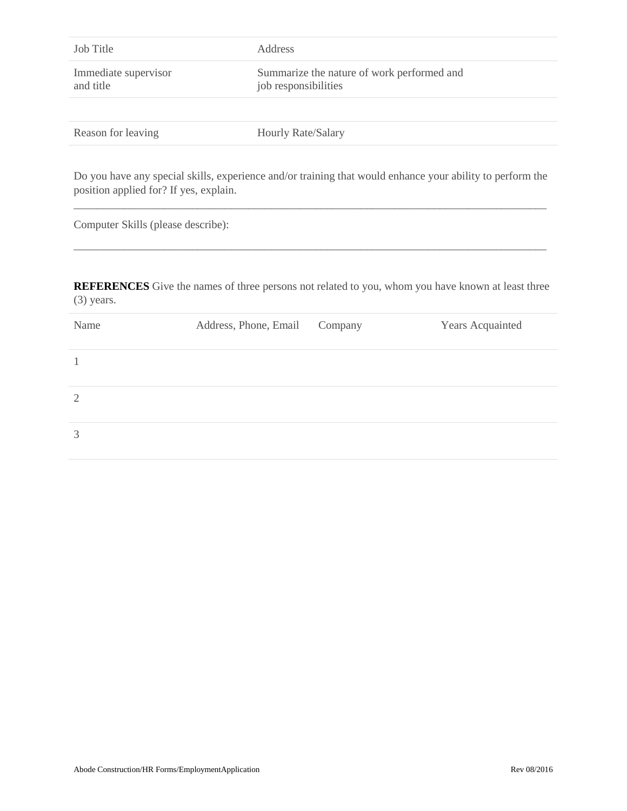| Job Title                              | Address               |                                                                    |                                                                                                           |  |
|----------------------------------------|-----------------------|--------------------------------------------------------------------|-----------------------------------------------------------------------------------------------------------|--|
| Immediate supervisor<br>and title      |                       | Summarize the nature of work performed and<br>job responsibilities |                                                                                                           |  |
| Reason for leaving                     | Hourly Rate/Salary    |                                                                    |                                                                                                           |  |
| position applied for? If yes, explain. |                       |                                                                    | Do you have any special skills, experience and/or training that would enhance your ability to perform the |  |
| Computer Skills (please describe):     |                       |                                                                    |                                                                                                           |  |
| $(3)$ years.                           |                       |                                                                    | <b>REFERENCES</b> Give the names of three persons not related to you, whom you have known at least three  |  |
| Name                                   | Address, Phone, Email | Company                                                            | <b>Years Acquainted</b>                                                                                   |  |
| 1                                      |                       |                                                                    |                                                                                                           |  |
| $\overline{2}$                         |                       |                                                                    |                                                                                                           |  |
| 3                                      |                       |                                                                    |                                                                                                           |  |